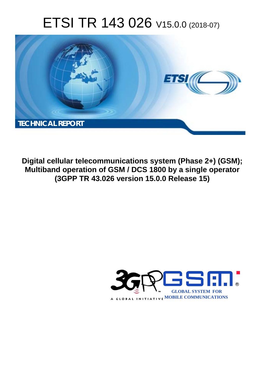# ETSI TR 143 026 V15.0.0 (2018-07)



**Digital cellular telecommunications system (Phase 2+) (GSM); Multiband operation of GSM / DCS 1800 by a single operator (3GPP TR 43.026 version 15.0.0 Release 15)** 

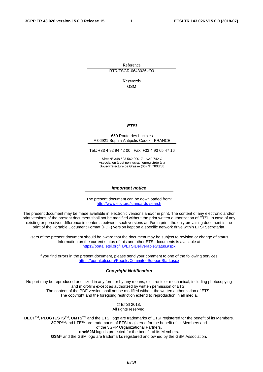Reference RTR/TSGR-0643026vf00

> Keywords GSM

#### *ETSI*

#### 650 Route des Lucioles F-06921 Sophia Antipolis Cedex - FRANCE

Tel.: +33 4 92 94 42 00 Fax: +33 4 93 65 47 16

Siret N° 348 623 562 00017 - NAF 742 C Association à but non lucratif enregistrée à la Sous-Préfecture de Grasse (06) N° 7803/88

#### *Important notice*

The present document can be downloaded from: <http://www.etsi.org/standards-search>

The present document may be made available in electronic versions and/or in print. The content of any electronic and/or print versions of the present document shall not be modified without the prior written authorization of ETSI. In case of any existing or perceived difference in contents between such versions and/or in print, the only prevailing document is the print of the Portable Document Format (PDF) version kept on a specific network drive within ETSI Secretariat.

Users of the present document should be aware that the document may be subject to revision or change of status. Information on the current status of this and other ETSI documents is available at <https://portal.etsi.org/TB/ETSIDeliverableStatus.aspx>

If you find errors in the present document, please send your comment to one of the following services: <https://portal.etsi.org/People/CommiteeSupportStaff.aspx>

#### *Copyright Notification*

No part may be reproduced or utilized in any form or by any means, electronic or mechanical, including photocopying and microfilm except as authorized by written permission of ETSI. The content of the PDF version shall not be modified without the written authorization of ETSI. The copyright and the foregoing restriction extend to reproduction in all media.

> © ETSI 2018. All rights reserved.

**DECT**TM, **PLUGTESTS**TM, **UMTS**TM and the ETSI logo are trademarks of ETSI registered for the benefit of its Members. **3GPP**TM and **LTE**TM are trademarks of ETSI registered for the benefit of its Members and of the 3GPP Organizational Partners. **oneM2M** logo is protected for the benefit of its Members.

**GSM**® and the GSM logo are trademarks registered and owned by the GSM Association.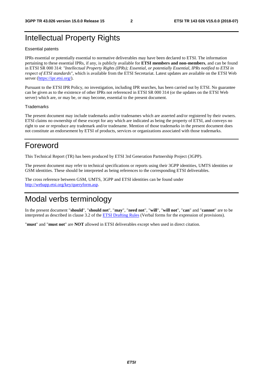# Intellectual Property Rights

#### Essential patents

IPRs essential or potentially essential to normative deliverables may have been declared to ETSI. The information pertaining to these essential IPRs, if any, is publicly available for **ETSI members and non-members**, and can be found in ETSI SR 000 314: *"Intellectual Property Rights (IPRs); Essential, or potentially Essential, IPRs notified to ETSI in respect of ETSI standards"*, which is available from the ETSI Secretariat. Latest updates are available on the ETSI Web server ([https://ipr.etsi.org/\)](https://ipr.etsi.org/).

Pursuant to the ETSI IPR Policy, no investigation, including IPR searches, has been carried out by ETSI. No guarantee can be given as to the existence of other IPRs not referenced in ETSI SR 000 314 (or the updates on the ETSI Web server) which are, or may be, or may become, essential to the present document.

#### **Trademarks**

The present document may include trademarks and/or tradenames which are asserted and/or registered by their owners. ETSI claims no ownership of these except for any which are indicated as being the property of ETSI, and conveys no right to use or reproduce any trademark and/or tradename. Mention of those trademarks in the present document does not constitute an endorsement by ETSI of products, services or organizations associated with those trademarks.

# Foreword

This Technical Report (TR) has been produced by ETSI 3rd Generation Partnership Project (3GPP).

The present document may refer to technical specifications or reports using their 3GPP identities, UMTS identities or GSM identities. These should be interpreted as being references to the corresponding ETSI deliverables.

The cross reference between GSM, UMTS, 3GPP and ETSI identities can be found under [http://webapp.etsi.org/key/queryform.asp.](http://webapp.etsi.org/key/queryform.asp)

# Modal verbs terminology

In the present document "**should**", "**should not**", "**may**", "**need not**", "**will**", "**will not**", "**can**" and "**cannot**" are to be interpreted as described in clause 3.2 of the [ETSI Drafting Rules](https://portal.etsi.org/Services/editHelp!/Howtostart/ETSIDraftingRules.aspx) (Verbal forms for the expression of provisions).

"**must**" and "**must not**" are **NOT** allowed in ETSI deliverables except when used in direct citation.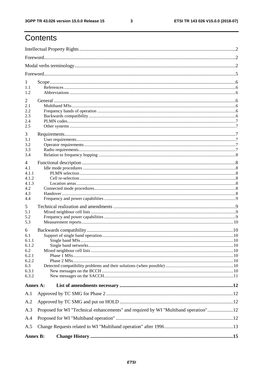$\mathbf{3}$ 

# Contents

| 1<br>1.1<br>1.2                                                              |                                                                                     |  |
|------------------------------------------------------------------------------|-------------------------------------------------------------------------------------|--|
| 2<br>2.1<br>2.2<br>2.3<br>2.4<br>2.5                                         |                                                                                     |  |
| 3<br>3.1<br>3.2<br>3.3<br>3.4                                                |                                                                                     |  |
| 4<br>4.1<br>4.1.1<br>4.1.2<br>4.1.3<br>4.2<br>4.3<br>4.4                     |                                                                                     |  |
| 5<br>5.1<br>5.2<br>5.3                                                       |                                                                                     |  |
| 6<br>6.1<br>6.1.1<br>6.1.2<br>6.2<br>6.2.1<br>6.2.2<br>6.3<br>6.3.1<br>6.3.2 |                                                                                     |  |
| Annex A:                                                                     |                                                                                     |  |
| A.1                                                                          |                                                                                     |  |
| A.2<br>A.3<br>A.4<br>A.5                                                     | Proposed for WI "Technical enhancements" and required by WI "Multiband operation"12 |  |
| <b>Annex B:</b>                                                              |                                                                                     |  |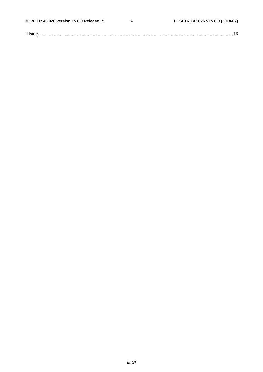$\overline{\mathbf{4}}$ 

| $\mathbf{r}$ |
|--------------|
|--------------|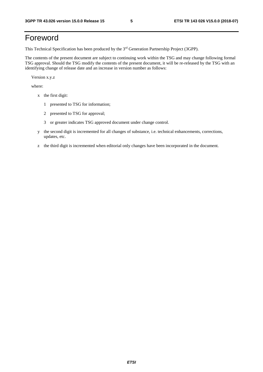# Foreword

This Technical Specification has been produced by the 3rd Generation Partnership Project (3GPP).

The contents of the present document are subject to continuing work within the TSG and may change following formal TSG approval. Should the TSG modify the contents of the present document, it will be re-released by the TSG with an identifying change of release date and an increase in version number as follows:

Version x.y.z

where:

- x the first digit:
	- 1 presented to TSG for information;
	- 2 presented to TSG for approval;
	- 3 or greater indicates TSG approved document under change control.
- y the second digit is incremented for all changes of substance, i.e. technical enhancements, corrections, updates, etc.
- z the third digit is incremented when editorial only changes have been incorporated in the document.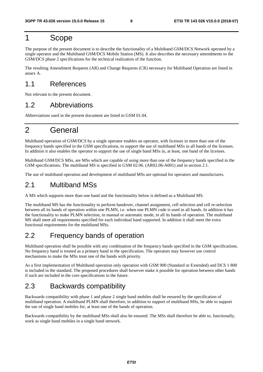### 1 Scope

The purpose of the present document is to describe the functionality of a Multiband GSM/DCS Network operated by a single operator and the Multiband GSM/DCS Mobile Station (MS). It also describes the necessary amendments to the GSM/DCS phase 2 specifications for the technical realization of the function.

The resulting Amendment Requests (AR) and Change Requests (CR) necessary for Multiband Operation are listed in annex A.

### 1.1 References

Not relevant to the present document.

### 1.2 Abbreviations

Abbreviations used in the present document are listed in GSM 01.04.

# 2 General

Multiband operation of GSM/DCS by a single operator enables an operator, with licenses in more than one of the frequency bands specified in the GSM specifications, to support the use of multiband MSs in all bands of the licenses. In addition it also enables the operator to support the use of single band MSs in, at least, one band of the licenses.

Multiband GSM/DCS MSs, are MSs which are capable of using more than one of the frequency bands specified in the GSM specifications. The multiband MS is specified in GSM 02.06. (AR02.06-A001) and in section 2.1.

The use of multiband operation and development of multiband MSs are optional for operators and manufactures.

### 2.1 Multiband MSs

A MS which supports more than one band and the functionality below is defined as a Multiband MS.

The multiband MS has the functionality to perform handover, channel assignment, cell selection and cell re-selection between all its bands of operation within one PLMN, i.e. when one PLMN code is used in all bands. In addition it has the functionality to make PLMN selection, in manual or automatic mode, in all its bands of operation. The multiband MS shall meet all requirements specified for each individual band supported. In addition it shall meet the extra functional requirements for the multiband MSs.

### 2.2 Frequency bands of operation

Multiband operation shall be possible with any combination of the frequency bands specified in the GSM specifications. No frequency band is treated as a primary band in the specification. The operators may however use control mechanisms to make the MSs treat one of the bands with priority.

As a first implementation of Multiband operation only operation with GSM 900 (Standard or Extended) and DCS 1 800 is included in the standard. The proposed procedures shall however make it possible for operation between other bands if such are included in the core specifications in the future.

### 2.3 Backwards compatibility

Backwards compatibility with phase 1 and phase 2 single band mobiles shall be ensured by the specification of multiband operation. A multiband PLMN shall therefore, in addition to support of multiband MSs, be able to support the use of single band mobiles for, at least one of the bands of operation.

Backwards compatibility by the multiband MSs shall also be ensured. The MSs shall therefore be able to, functionally, work as single band mobiles in a single band network.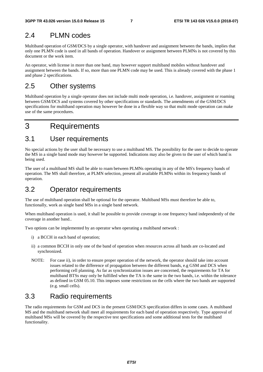### 2.4 PLMN codes

Multiband operation of GSM/DCS by a single operator, with handover and assignment between the bands, implies that only one PLMN code is used in all bands of operation. Handover or assignment between PLMNs is not covered by this document or the work item.

An operator, with license in more than one band, may however support multiband mobiles without handover and assignment between the bands. If so, more than one PLMN code may be used. This is already covered with the phase 1 and phase 2 specifications.

### 2.5 Other systems

Multiband operation by a single operator does not include multi mode operation, i.e. handover, assignment or roaming between GSM/DCS and systems covered by other specifications or standards. The amendments of the GSM/DCS specifications for multiband operation may however be done in a flexible way so that multi mode operation can make use of the same procedures.

# 3 Requirements

### 3.1 User requirements

No special actions by the user shall be necessary to use a multiband MS. The possibility for the user to decide to operate the MS in a single band mode may however be supported. Indications may also be given to the user of which band is being used.

The user of a multiband MS shall be able to roam between PLMNs operating in any of the MS's frequency bands of operation. The MS shall therefore, at PLMN selection, present all available PLMNs within its frequency bands of operation.

# 3.2 Operator requirements

The use of multiband operation shall be optional for the operator. Multiband MSs must therefore be able to, functionally, work as single band MSs in a single band network.

When multiband operation is used, it shall be possible to provide coverage in one frequency band independently of the coverage in another band..

Two options can be implemented by an operator when operating a multiband network :

- i) a BCCH in each band of operation;
- ii) a common BCCH in only one of the band of operation when resources across all bands are co-located and synchronized.
- NOTE: For case ii), in order to ensure proper operation of the network, the operator should take into account issues related to the difference of propagation between the different bands, e.g GSM and DCS when performing cell planning. As far as synchronization issues are concerned, the requirements for TA for multiband BTSs may only be fulfilled when the TA is the same in the two bands, i.e. within the tolerance as defined in GSM 05.10. This imposes some restrictions on the cells where the two bands are supported (e.g. small cells).

### 3.3 Radio requirements

The radio requirements for GSM and DCS in the present GSM/DCS specification differs in some cases. A multiband MS and the multiband network shall meet all requirements for each band of operation respectively. Type approval of multiband MSs will be covered by the respective test specifications and some additional tests for the multiband functionality.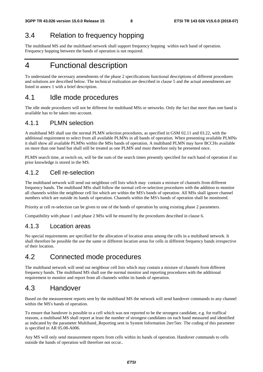# 3.4 Relation to frequency hopping

The multiband MS and the multiband network shall support frequency hopping within each band of operation. Frequency hopping between the bands of operation is not required.

# 4 Functional description

To understand the necessary amendments of the phase 2 specifications functional descriptions of different procedures and solutions are described below. The technical realization are described in clause 5 and the actual amendments are listed in annex 1 with a brief description.

### 4.1 Idle mode procedures

The idle mode procedures will not be different for multiband MSs or networks. Only the fact that more than one band is available has to be taken into account.

### 4.1.1 PLMN selection

A multiband MS shall use the normal PLMN selection procedures, as specified in GSM 02.11 and 03.22, with the additional requirement to select from all available PLMNs in all bands of operation. When presenting available PLMNs it shall show all available PLMNs within the MSs bands of operation. A multiband PLMN may have BCCHs available on more than one band but shall still be treated as one PLMN and must therefore only be presented once.

PLMN search time, at switch on, will be the sum of the search times presently specified for each band of operation if no prior knowledge is stored in the MS.

### 4.1.2 Cell re-selection

The multiband network will send out neighbour cell lists which may contain a mixture of channels from different frequency bands. The multiband MSs shall follow the normal cell-re-selection procedures with the addition to monitor all channels within the neighbour cell list which are within the MS's bands of operation. All MSs shall ignore channel numbers which are outside its bands of operation. Channels within the MS's bands of operation shall be monitored.

Priority at cell re-selection can be given to one of the bands of operation by using existing phase 2 parameters.

Compatibility with phase 1 and phase 2 MSs will be ensured by the procedures described in clause 6.

### 4.1.3 Location areas

No special requirements are specified for the allocation of location areas among the cells in a multiband network. It shall therefore be possible the use the same or different location areas for cells in different frequency bands irrespective of their location.

### 4.2 Connected mode procedures

The multiband network will send out neighbour cell lists which may contain a mixture of channels from different frequency bands. The multiband MS shall use the normal monitor and reporting procedures with the additional requirement to monitor and report from all channels within its bands of operation.

### 4.3 Handover

Based on the measurement reports sent by the multiband MS the network will send handover commands to any channel within the MS's bands of operation.

To ensure that handover is possible to a cell which was not reported to be the strongest candidate, e.g. for traffical reasons, a multiband MS shall report at least the number of strongest candidates on each band measured and identified as indicated by the parameter Multiband\_Reporting sent in System Information 2ter/5ter. The coding of this parameter is specified in AR 05.08-A006.

Any MS will only send measurement reports from cells within its bands of operation. Handover commands to cells outside the bands of operation will therefore not occur..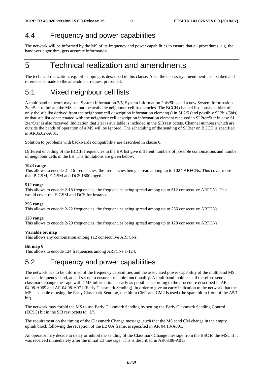### 4.4 Frequency and power capabilities

The network will be informed by the MS of its frequency and power capabilities to ensure that all procedures, e.g. the handover algorithm, gets accurate information.

# 5 Technical realization and amendments

The technical realization, e.g. bit mapping, is described in this clause. Also, the necessary amendment is described and reference is made to the amendment request presented.

### 5.1 Mixed neighbour cell lists

A multiband network may use System Information 2/5, System Information 2bis/5bis and a new System Information 2ter/5ter to inform the MSs about the available neighbour cell frequencies. The BCCH channel list consists either of only the sub list derived from the neighbour cell description information element(s) in SI 2/5 (and possibly SI 2bis/5bis) or that sub list concatenated with the neighbour cell description information element received in SI 2ter/5ter in case SI 2ter/5ter is also received. Indication that 2ter is available is included in the SI3 rest octets. Channel numbers which are outside the bands of operation of a MS will be ignored. The scheduling of the sending of SI 2ter on BCCH is specified in AR05.02-A001.

Solution to problems with backwards compatibility are described in clause 6.

Different encoding of the BCCH frequencies in the BA list give different numbers of possible combinations and number of neighbour cells in the list. The limitations are given below:

#### **1024 range**

This allows to encode 2 - 16 frequencies, the frequencies being spread among up to 1024 ARFCNs. This cover more than P-GSM, E-GSM and DCS 1800 together.

#### **512 range**

This allows to encode 2-18 frequencies, the frequencies being spread among up to 512 consecutive ARFCNs. This would cover the E-GSM and DCS for instance.

#### **256 range**

This allows to encode 2-22 frequencies, the frequencies being spread among up to 256 consecutive ARFCNs.

#### **128 range**

This allows to encode 2-29 frequencies, the frequencies being spread among up to 128 consecutive ARFCNs.

#### **Variable bit map**

This allows any combination among 112 consecutive ARFCNs.

#### **Bit map 0**

This allows to encode 124 frequencies among ARFCNs 1-124.

### 5.2 Frequency and power capabilities

The network has to be informed of the frequency capabilities and the associated power capability of the multiband MS, on each frequency band, at call set up to ensure a reliable functionality. A multiband mobile shall therefore send a classmark change message with CM3 information as early as possible according to the procedure described in AR 04.08-A069 and AR 04.08-A071 (Early Classmark Sending)*.* In order to give an early indication to the network that the MS is capable of using the Early Classmark Sending, one bit in CM1 and CM2 is used (the spare bit in front of the A5/1 bit).

The network may forbid the MS to use Early Classmark Sending by setting the Early Classmark Sending Control (ECSC) bit in the SI3 rest octets to "L".

The requirement on the timing of the Classmark Change message, such that the MS send CM change in the empty uplink block following the reception of the L2 UA frame, is specified in AR 04.13-A001.

An operator may decide to delay or inhibit the sending of the Classmark Change message from the BSC to the MSC if it was received immediately after the initial L3 message. This is described in AR08.08-A013.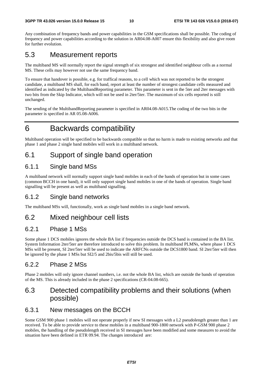Any combination of frequency bands and power capabilities in the GSM specifications shall be possible. The coding of frequency and power capabilities according to the solution in AR04.08-A007 ensure this flexibility and also give room for further evolution.

### 5.3 Measurement reports

The multiband MS will normally report the signal strength of six strongest and identified neighbour cells as a normal MS. These cells may however not use the same frequency band.

To ensure that handover is possible, e.g. for traffical reasons, to a cell which was not reported to be the strongest candidate, a multiband MS shall, for each band, report at least the number of strongest candidate cells measured and identified as indicated by the MultibandReporting parameter. This parameter is sent in the 5ter and 2ter messages with two bits from the Skip Indicator, which will not be used in 2ter/5ter. The maximum of six cells reported is still unchanged.

The sending of the MultibandReporting parameter is specified in AR04.08-A015.The coding of the two bits in the parameter is specified in AR 05.08-A006.

# 6 Backwards compatibility

Multiband operation will be specified to be backwards compatible so that no harm is made to existing networks and that phase 1 and phase 2 single band mobiles will work in a multiband network.

### 6.1 Support of single band operation

### 6.1.1 Single band MSs

A multiband network will normally support single band mobiles in each of the bands of operation but in some cases (common BCCH in one band), it will only support single band mobiles in one of the bands of operation. Single band signalling will be present as well as multiband signalling.

### 6.1.2 Single band networks

The multiband MSs will, functionally, work as single band mobiles in a single band network.

### 6.2 Mixed neighbour cell lists

### 6.2.1 Phase 1 MSs

Some phase 1 DCS mobiles ignores the whole BA list if frequencies outside the DCS band is contained in the BA list. System Information 2ter/5ter are therefore introduced to solve this problem. In multiband PLMNs, where phase 1 DCS MSs will be present, SI 2ter/5ter will be used to indicate the ARFCNs outside the DCS1800 band. SI 2ter/5ter will then be ignored by the phase 1 MSs but SI2/5 and 2bis/5bis will still be used.

### 6.2.2 Phase 2 MSs

Phase 2 mobiles will only ignore channel numbers, i.e. not the whole BA list, which are outside the bands of operation of the MS. This is already included in the phase 2 specifications (CR-04.08-665).

### 6.3 Detected compatibility problems and their solutions (when possible)

### 6.3.1 New messages on the BCCH

Some GSM 900 phase 1 mobiles will not operate properly if new SI messages with a L2 pseudolength greater than 1 are received. To be able to provide service to these mobiles in a multiband 900-1800 network with P-GSM 900 phase 2 mobiles, the handling of the pseudolength received in SI messages have been modified and some measures to avoid the situation have been defined in ETR 09.94. The changes introduced are: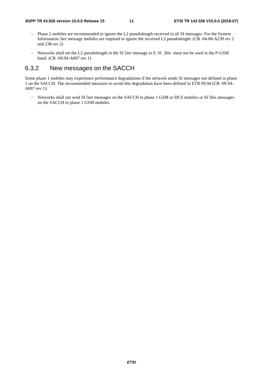- Phase 2 mobiles are recommended to ignore the L2 pseudolength received in all SI messages. For the System Information 2ter message mobiles are required to ignore the received L2 pseudolength. (CR -04.08-A239 rev 2 and 238 rev 2)
- Networks shall set the L2 pseudolength in the SI 2ter message to 0. SI 2bis must not be used in the P-GSM band. (CR -09.94-A007 rev 1)

### 6.3.2 New messages on the SACCH

Some phase 1 mobiles may experience performance degradations if the network sends SI messages not defined in phase 1 on the SACCH. The recommended measures to avoid this degradation have been defined in ETR 09.94 (CR -09.94- A007 rev 1):

- Networks shall not send SI 5ter messages on the SACCH to phase 1 GSM or DCS mobiles or SI 5bis messages on the SACCH to phase 1 GSM mobiles.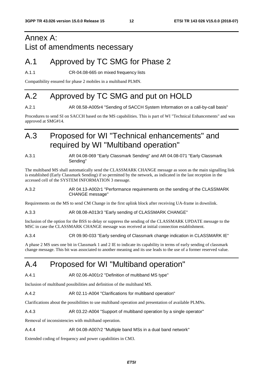# Annex A: List of amendments necessary

# A.1 Approved by TC SMG for Phase 2

A.1.1 CR-04.08-665 on mixed frequency lists

Compatibility ensured for phase 2 mobiles in a multiband PLMN.

# A.2 Approved by TC SMG and put on HOLD

A.2.1 **AR 08.58-A005r4 "Sending of SACCH System Information on a call-by-call basis"** 

Procedures to send SI on SACCH based on the MS capabilities. This is part of WI "Technical Enhancements" and was approved at SMG#14.

# A.3 Proposed for WI "Technical enhancements" and required by WI "Multiband operation"

A.3.1 AR 04.08-069 "Early Classmark Sending" and AR 04.08-071 "Early Classmark Sending"

The multiband MS shall automatically send the CLASSMARK CHANGE message as soon as the main signalling link is established (Early Classmark Sending) if so permitted by the network, as indicated in the last reception in the accessed cell of the SYSTEM INFORMATION 3 message.

#### A.3.2 AR 04.13-A002r1 "Performance requirements on the sending of the CLASSMARK CHANGE message"

Requirements on the MS to send CM Change in the first uplink block after receiving UA-frame in downlink.

#### A.3.3 AR 08.08-A013r3 "Early sending of CLASSMARK CHANGE"

Inclusion of the option for the BSS to delay or suppress the sending of the CLASSMARK UPDATE message to the MSC in case the CLASSMARK CHANGE message was received at initial connection establishment.

#### A.3.4 CR 09.90-033 "Early sending of Classmark change indication in CLASSMARK IE"

A phase 2 MS uses one bit in Classmark 1 and 2 IE to indicate its capability in terms of early sending of classmark change message. This bit was associated to another meaning and its use leads to the use of a former reserved value.

# A.4 Proposed for WI "Multiband operation"

A.4.1 AR 02.06-A001r2 "Definition of multiband MS type"

Inclusion of multiband possibilities and definition of the multiband MS.

A.4.2 AR 02.11-A004 "Clarifications for multiband operation"

Clarifications about the possibilities to use multiband operation and presentation of available PLMNs.

A.4.3 AR 03.22-A004 "Support of multiband operation by a single operator"

Removal of inconsistencies with multiband operation.

A.4.4 AR 04.08-A007r2 "Multiple band MSs in a dual band network"

Extended coding of frequency and power capabilities in CM3.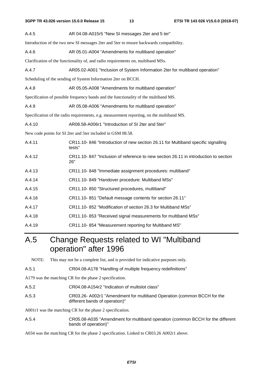| A.4.5                                                                                    | AR 04.08-A015r5 "New SI messages 2ter and 5 ter"                                           |  |  |  |  |  |  |
|------------------------------------------------------------------------------------------|--------------------------------------------------------------------------------------------|--|--|--|--|--|--|
| Introduction of the two new SI messages 2ter and 5ter to ensure backwards compatibility. |                                                                                            |  |  |  |  |  |  |
| A.4.6                                                                                    | AR 05.01-A004 "Amendments for multiband operation"                                         |  |  |  |  |  |  |
| Clarification of the functionality of, and radio requirements on, multiband MSs.         |                                                                                            |  |  |  |  |  |  |
| A.4.7                                                                                    | AR05.02-A001 "Inclusion of System Information 2ter for multiband operation"                |  |  |  |  |  |  |
|                                                                                          | Scheduling of the sending of System Information 2ter on BCCH.                              |  |  |  |  |  |  |
| A.4.8                                                                                    | AR 05.05-A008 "Amendments for multiband operation"                                         |  |  |  |  |  |  |
|                                                                                          | Specification of possible frequency bands and the functionality of the multiband MS.       |  |  |  |  |  |  |
| A.4.9                                                                                    | AR 05.08-A006 "Amendments for multiband operation"                                         |  |  |  |  |  |  |
|                                                                                          | Specification of the radio requirements, e.g. measurement reporting, on the multiband MS.  |  |  |  |  |  |  |
| A.4.10                                                                                   | AR08.58-A006r1 "Introduction of SI 2ter and 5ter"                                          |  |  |  |  |  |  |
|                                                                                          | New code points for SI 2ter and 5ter included in GSM 08.58.                                |  |  |  |  |  |  |
| A.4.11                                                                                   | CR11.10-846 "Introduction of new section 26.11 for Multiband specific signalling<br>tests" |  |  |  |  |  |  |
| A.4.12                                                                                   | CR11.10-847 "Inclusion of reference to new section 26.11 in introduction to section<br>26" |  |  |  |  |  |  |
| A.4.13                                                                                   | CR11.10-848 "Immediate assignment procedures: multiband"                                   |  |  |  |  |  |  |
| A.4.14                                                                                   | CR11.10-849 "Handover procedure: Multiband MSs"                                            |  |  |  |  |  |  |
| A.4.15                                                                                   | CR11.10-850 "Structured procedures, multiband"                                             |  |  |  |  |  |  |
| A.4.16                                                                                   | CR11.10-851 "Default message contents for section 26.11"                                   |  |  |  |  |  |  |
| A.4.17                                                                                   | CR11.10-852 "Modification of section 26.3 for Multiband MSs"                               |  |  |  |  |  |  |
| A.4.18                                                                                   | CR11.10-853 "Received signal measurements for multiband MSs"                               |  |  |  |  |  |  |
| A.4.19                                                                                   | CR11.10-854 "Measurement reporting for Multiband MS"                                       |  |  |  |  |  |  |

# A.5 Change Requests related to WI "Multiband operation" after 1996

NOTE: This may not be a complete list, and is provided for indicative purposes only.

A.5.1 CR04.08-A178 "Handling of multiple frequency redefinitions"

A179 was the matching CR for the phase 2 specification.

A.5.2 CR04.08-A154r2 "Indication of multislot class"

#### A.5.3 CR03.26- A002r1 "Amendment for multiband Operation (common BCCH for the different bands of operation)"

A001r1 was the matching CR for the phase 2 specification.

A.5.4 CR05.08-A035 "Amendment for multiband operation (common BCCH for the different bands of operation)"

A034 was the matching CR for the phase 2 specification. Linked to CR03.26 A002r1 above.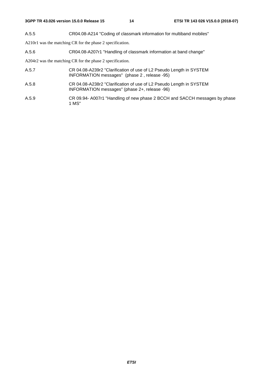A.5.5 CR04.08-A214 "Coding of classmark information for multiband mobiles"

A210r1 was the matching CR for the phase 2 specification.

A.5.6 CR04.08-A207r1 "Handling of classmark information at band change"

A204r2 was the matching CR for the phase 2 specification.

- A.5.7 CR 04.08-A239r2 "Clarification of use of L2 Pseudo Length in SYSTEM INFORMATION messages" (phase 2 , release -95)
- A.5.8 CR 04.08-A238r2 "Clarification of use of L2 Pseudo Length in SYSTEM INFORMATION messages" (phase 2+, release -96)
- A.5.9 CR 09.94- A007r1 "Handling of new phase 2 BCCH and SACCH messages by phase 1 MS"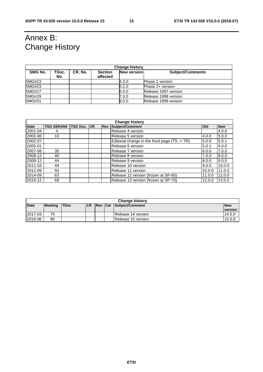# Annex B: Change History

| <b>Change history</b> |              |         |                            |                    |                         |  |  |
|-----------------------|--------------|---------|----------------------------|--------------------|-------------------------|--|--|
| SMG No.               | TDoc.<br>No. | CR. No. | <b>Section</b><br>affected | <b>New version</b> | <b>Subject/Comments</b> |  |  |
| <b>SMG#23</b>         |              |         |                            | 4.3.0              | Phase 2 version         |  |  |
| <b>SMG#23</b>         |              |         |                            | 5.2.0              | Phase 2+ version        |  |  |
| <b>SMG#27</b>         |              |         |                            | 6.0.0              | Release 1997 version    |  |  |
| <b>SMG#29</b>         |              |         |                            | 7.0.0              | Release 1998 version    |  |  |
| <b>SMG#31</b>         |              |         |                            | 8.0.0              | Release 1999 version    |  |  |

| <b>Change history</b> |                   |             |  |            |                                               |              |            |
|-----------------------|-------------------|-------------|--|------------|-----------------------------------------------|--------------|------------|
| <b>Date</b>           | <b>TSG GERAN#</b> | TSG Doc. CR |  | <b>Rev</b> | Subject/Comment                               | <b>l</b> Old | <b>New</b> |
| 2001-04               |                   |             |  |            | Release 4 version                             |              | 4.0.0      |
| 2002-06               | 10                |             |  |            | Release 5 version                             | 4.0.0        | 5.0.0      |
| 2002-07               |                   |             |  |            | Editorial change in the front page (TS -> TR) | 5.0.0        | 5.0.1      |
| 2005-01               |                   |             |  |            | Release 6 version                             | 5.0.1        | 6.0.0      |
| 2007-08               | 35                |             |  |            | Release 7 version                             | 6.0.0        | 7.0.0      |
| 2008-12               | 40                |             |  |            | Release 8 version                             | 7.0.0        | 8.0.0      |
| 2009-12               | 44                |             |  |            | Release 9 version                             | 8.0.0        | 9.0.0      |
| 2011-03               | 49                |             |  |            | Release 10 version                            | 9.0.0        | 10.0.0     |
| 2012-09               | 55                |             |  |            | Release 11 version                            | 10.0.0       | 11.0.0     |
| 2014-09               | 63                |             |  |            | Release 12 version (frozen at SP-65)          | 11.0.0       | 12.0.0     |
| 2015-12               | 68                |             |  |            | Release 13 version (frozen at SP-70)          | 12.0.0       | 13.0.0     |

| <b>Change history</b> |                |              |            |  |  |                         |            |
|-----------------------|----------------|--------------|------------|--|--|-------------------------|------------|
| Date                  | <b>Meeting</b> | <b>ITDoc</b> | <b>ICR</b> |  |  | Rev Cat Subject/Comment | <b>New</b> |
|                       |                |              |            |  |  |                         | version    |
| 2017-03               | 75             |              |            |  |  | IRelease 14 version     | 14.0.0     |
| 2018-06               | 80             |              |            |  |  | Release 15 version      | 15.0.0     |